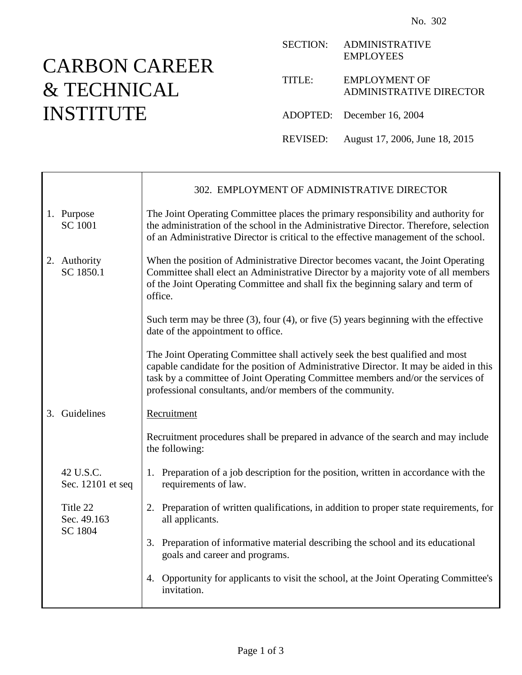## CARBON CAREER & TECHNICAL INSTITUTE

| <b>SECTION:</b> | <b>ADMINISTRATIVE</b><br><b>EMPLOYEES</b> |
|-----------------|-------------------------------------------|
| TITLE:          | EMPLOYMENT OF<br>ADMINISTRATIVE DIRECTOR  |
|                 | ADOPTED: December 16, 2004                |
| REVISED:        | August 17, 2006, June 18, 2015            |

|                                    | 302. EMPLOYMENT OF ADMINISTRATIVE DIRECTOR                                                                                                                                                                                                                                                                               |
|------------------------------------|--------------------------------------------------------------------------------------------------------------------------------------------------------------------------------------------------------------------------------------------------------------------------------------------------------------------------|
| 1. Purpose<br><b>SC 1001</b>       | The Joint Operating Committee places the primary responsibility and authority for<br>the administration of the school in the Administrative Director. Therefore, selection<br>of an Administrative Director is critical to the effective management of the school.                                                       |
| 2. Authority<br>SC 1850.1          | When the position of Administrative Director becomes vacant, the Joint Operating<br>Committee shall elect an Administrative Director by a majority vote of all members<br>of the Joint Operating Committee and shall fix the beginning salary and term of<br>office.                                                     |
|                                    | Such term may be three $(3)$ , four $(4)$ , or five $(5)$ years beginning with the effective<br>date of the appointment to office.                                                                                                                                                                                       |
|                                    | The Joint Operating Committee shall actively seek the best qualified and most<br>capable candidate for the position of Administrative Director. It may be aided in this<br>task by a committee of Joint Operating Committee members and/or the services of<br>professional consultants, and/or members of the community. |
| 3. Guidelines                      | Recruitment                                                                                                                                                                                                                                                                                                              |
|                                    | Recruitment procedures shall be prepared in advance of the search and may include<br>the following:                                                                                                                                                                                                                      |
| 42 U.S.C.<br>Sec. 12101 et seq     | 1. Preparation of a job description for the position, written in accordance with the<br>requirements of law.                                                                                                                                                                                                             |
| Title 22<br>Sec. 49.163<br>SC 1804 | 2. Preparation of written qualifications, in addition to proper state requirements, for<br>all applicants.                                                                                                                                                                                                               |
|                                    | Preparation of informative material describing the school and its educational<br>3.<br>goals and career and programs.                                                                                                                                                                                                    |
|                                    | 4. Opportunity for applicants to visit the school, at the Joint Operating Committee's<br>invitation.                                                                                                                                                                                                                     |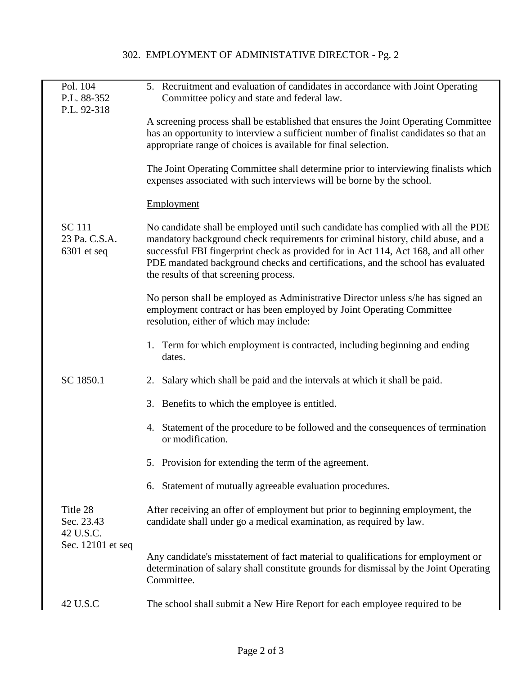## 302. EMPLOYMENT OF ADMINISTATIVE DIRECTOR - Pg. 2

| Pol. 104          | 5. Recruitment and evaluation of candidates in accordance with Joint Operating                                                                               |
|-------------------|--------------------------------------------------------------------------------------------------------------------------------------------------------------|
| P.L. 88-352       | Committee policy and state and federal law.                                                                                                                  |
| P.L. 92-318       |                                                                                                                                                              |
|                   | A screening process shall be established that ensures the Joint Operating Committee                                                                          |
|                   | has an opportunity to interview a sufficient number of finalist candidates so that an                                                                        |
|                   | appropriate range of choices is available for final selection.                                                                                               |
|                   |                                                                                                                                                              |
|                   | The Joint Operating Committee shall determine prior to interviewing finalists which<br>expenses associated with such interviews will be borne by the school. |
|                   | Employment                                                                                                                                                   |
| <b>SC</b> 111     | No candidate shall be employed until such candidate has complied with all the PDE                                                                            |
| 23 Pa. C.S.A.     | mandatory background check requirements for criminal history, child abuse, and a                                                                             |
| $6301$ et seq     | successful FBI fingerprint check as provided for in Act 114, Act 168, and all other                                                                          |
|                   | PDE mandated background checks and certifications, and the school has evaluated                                                                              |
|                   | the results of that screening process.                                                                                                                       |
|                   |                                                                                                                                                              |
|                   | No person shall be employed as Administrative Director unless s/he has signed an                                                                             |
|                   | employment contract or has been employed by Joint Operating Committee                                                                                        |
|                   | resolution, either of which may include:                                                                                                                     |
|                   |                                                                                                                                                              |
|                   | 1. Term for which employment is contracted, including beginning and ending                                                                                   |
|                   | dates.                                                                                                                                                       |
|                   |                                                                                                                                                              |
| SC 1850.1         | 2. Salary which shall be paid and the intervals at which it shall be paid.                                                                                   |
|                   |                                                                                                                                                              |
|                   | 3. Benefits to which the employee is entitled.                                                                                                               |
|                   |                                                                                                                                                              |
|                   | 4. Statement of the procedure to be followed and the consequences of termination                                                                             |
|                   | or modification.                                                                                                                                             |
|                   |                                                                                                                                                              |
|                   | 5. Provision for extending the term of the agreement.                                                                                                        |
|                   |                                                                                                                                                              |
|                   | Statement of mutually agreeable evaluation procedures.<br>6.                                                                                                 |
|                   |                                                                                                                                                              |
| Title 28          | After receiving an offer of employment but prior to beginning employment, the                                                                                |
| Sec. 23.43        | candidate shall under go a medical examination, as required by law.                                                                                          |
| 42 U.S.C.         |                                                                                                                                                              |
| Sec. 12101 et seq |                                                                                                                                                              |
|                   | Any candidate's misstatement of fact material to qualifications for employment or                                                                            |
|                   |                                                                                                                                                              |
|                   | determination of salary shall constitute grounds for dismissal by the Joint Operating<br>Committee.                                                          |
|                   |                                                                                                                                                              |
| 42 U.S.C          |                                                                                                                                                              |
|                   | The school shall submit a New Hire Report for each employee required to be                                                                                   |